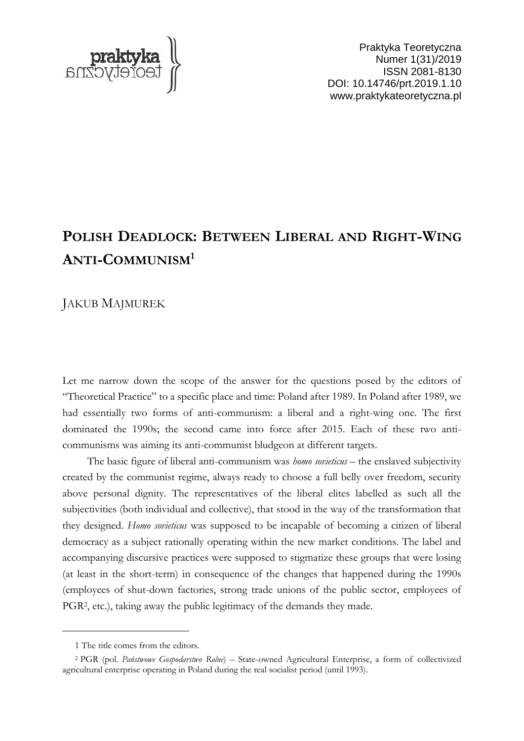

Praktyka Teoretyczna Numer 1(31)/2019 ISSN 2081-8130 DOI: 10.14746/prt.2019.1.10 www.praktykateoretyczna.pl

## **POLISH DEADLOCK: BETWEEN LIBERAL AND RIGHT-WING ANTI-COMMUNISM<sup>1</sup>**

JAKUB MAJMUREK

Let me narrow down the scope of the answer for the questions posed by the editors of "Theoretical Practice" to a specific place and time: Poland after 1989. In Poland after 1989, we had essentially two forms of anti-communism: a liberal and a right-wing one. The first dominated the 1990s; the second came into force after 2015. Each of these two anticommunisms was aiming its anti-communist bludgeon at different targets.

The basic figure of liberal anti-communism was *homo sovieticus* – the enslaved subjectivity created by the communist regime, always ready to choose a full belly over freedom, security above personal dignity. The representatives of the liberal elites labelled as such all the subjectivities (both individual and collective), that stood in the way of the transformation that they designed. *Homo sovieticus* was supposed to be incapable of becoming a citizen of liberal democracy as a subject rationally operating within the new market conditions. The label and accompanying discursive practices were supposed to stigmatize these groups that were losing (at least in the short-term) in consequence of the changes that happened during the 1990s (employees of shut-down factories, strong trade unions of the public sector, employees of PGR<sup>2</sup>, etc.), taking away the public legitimacy of the demands they made.

 $\overline{a}$ 

<sup>1</sup> The title comes from the editors.

<sup>2</sup> PGR (pol. *Państwowe Gospodarstwo Rolne*) – State-owned Agricultural Enterprise, a form of collectivized agricultural enterprise operating in Poland during the real socialist period (until 1993).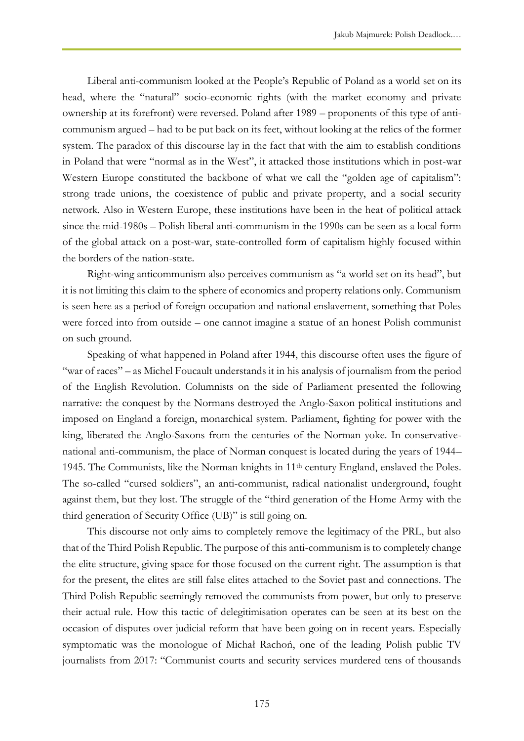Liberal anti-communism looked at the People's Republic of Poland as a world set on its head, where the "natural" socio-economic rights (with the market economy and private ownership at its forefront) were reversed. Poland after 1989 – proponents of this type of anticommunism argued – had to be put back on its feet, without looking at the relics of the former system. The paradox of this discourse lay in the fact that with the aim to establish conditions in Poland that were "normal as in the West", it attacked those institutions which in post-war Western Europe constituted the backbone of what we call the "golden age of capitalism": strong trade unions, the coexistence of public and private property, and a social security network. Also in Western Europe, these institutions have been in the heat of political attack since the mid-1980s – Polish liberal anti-communism in the 1990s can be seen as a local form of the global attack on a post-war, state-controlled form of capitalism highly focused within the borders of the nation-state.

Right-wing anticommunism also perceives communism as "a world set on its head", but it is not limiting this claim to the sphere of economics and property relations only. Communism is seen here as a period of foreign occupation and national enslavement, something that Poles were forced into from outside – one cannot imagine a statue of an honest Polish communist on such ground.

Speaking of what happened in Poland after 1944, this discourse often uses the figure of "war of races" – as Michel Foucault understands it in his analysis of journalism from the period of the English Revolution. Columnists on the side of Parliament presented the following narrative: the conquest by the Normans destroyed the Anglo-Saxon political institutions and imposed on England a foreign, monarchical system. Parliament, fighting for power with the king, liberated the Anglo-Saxons from the centuries of the Norman yoke. In conservativenational anti-communism, the place of Norman conquest is located during the years of 1944– 1945. The Communists, like the Norman knights in 11th century England, enslaved the Poles. The so-called "cursed soldiers", an anti-communist, radical nationalist underground, fought against them, but they lost. The struggle of the "third generation of the Home Army with the third generation of Security Office (UB)" is still going on.

This discourse not only aims to completely remove the legitimacy of the PRL, but also that of the Third Polish Republic. The purpose of this anti-communism is to completely change the elite structure, giving space for those focused on the current right. The assumption is that for the present, the elites are still false elites attached to the Soviet past and connections. The Third Polish Republic seemingly removed the communists from power, but only to preserve their actual rule. How this tactic of delegitimisation operates can be seen at its best on the occasion of disputes over judicial reform that have been going on in recent years. Especially symptomatic was the monologue of Michał Rachoń, one of the leading Polish public TV journalists from 2017: "Communist courts and security services murdered tens of thousands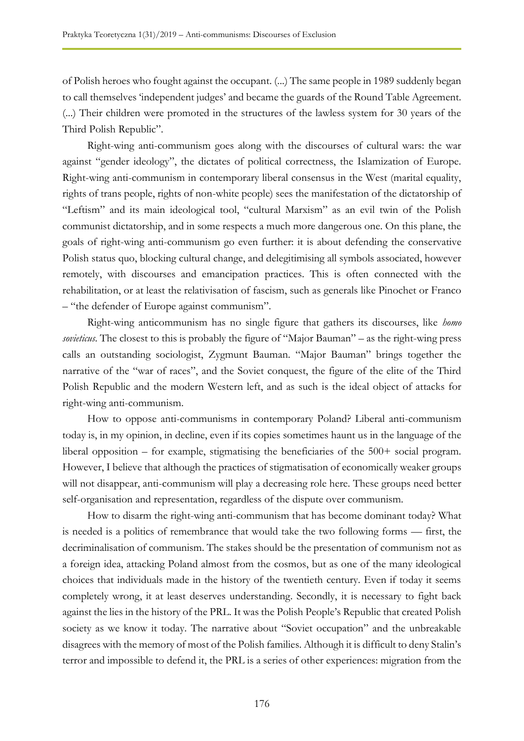of Polish heroes who fought against the occupant. (...) The same people in 1989 suddenly began to call themselves 'independent judges' and became the guards of the Round Table Agreement. (...) Their children were promoted in the structures of the lawless system for 30 years of the Third Polish Republic".

Right-wing anti-communism goes along with the discourses of cultural wars: the war against "gender ideology", the dictates of political correctness, the Islamization of Europe. Right-wing anti-communism in contemporary liberal consensus in the West (marital equality, rights of trans people, rights of non-white people) sees the manifestation of the dictatorship of "Leftism" and its main ideological tool, "cultural Marxism" as an evil twin of the Polish communist dictatorship, and in some respects a much more dangerous one. On this plane, the goals of right-wing anti-communism go even further: it is about defending the conservative Polish status quo, blocking cultural change, and delegitimising all symbols associated, however remotely, with discourses and emancipation practices. This is often connected with the rehabilitation, or at least the relativisation of fascism, such as generals like Pinochet or Franco – "the defender of Europe against communism".

Right-wing anticommunism has no single figure that gathers its discourses, like *homo sovieticus*. The closest to this is probably the figure of "Major Bauman" – as the right-wing press calls an outstanding sociologist, Zygmunt Bauman. "Major Bauman" brings together the narrative of the "war of races", and the Soviet conquest, the figure of the elite of the Third Polish Republic and the modern Western left, and as such is the ideal object of attacks for right-wing anti-communism.

How to oppose anti-communisms in contemporary Poland? Liberal anti-communism today is, in my opinion, in decline, even if its copies sometimes haunt us in the language of the liberal opposition – for example, stigmatising the beneficiaries of the 500+ social program. However, I believe that although the practices of stigmatisation of economically weaker groups will not disappear, anti-communism will play a decreasing role here. These groups need better self-organisation and representation, regardless of the dispute over communism.

How to disarm the right-wing anti-communism that has become dominant today? What is needed is a politics of remembrance that would take the two following forms — first, the decriminalisation of communism. The stakes should be the presentation of communism not as a foreign idea, attacking Poland almost from the cosmos, but as one of the many ideological choices that individuals made in the history of the twentieth century. Even if today it seems completely wrong, it at least deserves understanding. Secondly, it is necessary to fight back against the lies in the history of the PRL. It was the Polish People's Republic that created Polish society as we know it today. The narrative about "Soviet occupation" and the unbreakable disagrees with the memory of most of the Polish families. Although it is difficult to deny Stalin's terror and impossible to defend it, the PRL is a series of other experiences: migration from the